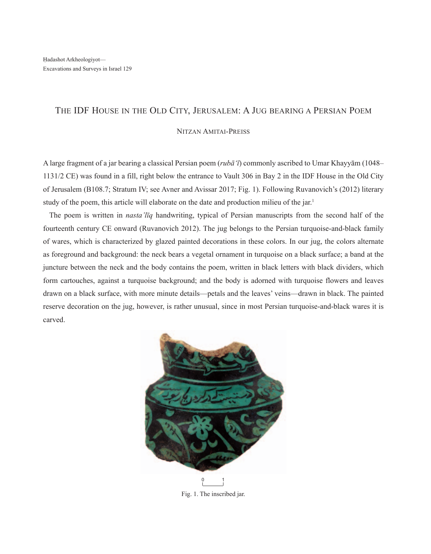## The IDF House in the Old City, Jerusalem: A Jug bearing a Persian Poem

## Nitzan Amitai-Preiss

A large fragment of a jar bearing a classical Persian poem (*rubā'ī*) commonly ascribed to Umar Khayyām (1048– 1131/2 CE) was found in a fill, right below the entrance to Vault 306 in Bay 2 in the IDF House in the Old City of Jerusalem (B108.7; Stratum IV; see Avner and Avissar 2017; Fig. 1). Following Ruvanovich's (2012) literary study of the poem, this article will elaborate on the date and production milieu of the jar. 1

The poem is written in *nasta'līq* handwriting, typical of Persian manuscripts from the second half of the fourteenth century CE onward (Ruvanovich 2012). The jug belongs to the Persian turquoise-and-black family of wares, which is characterized by glazed painted decorations in these colors. In our jug, the colors alternate as foreground and background: the neck bears a vegetal ornament in turquoise on a black surface; a band at the juncture between the neck and the body contains the poem, written in black letters with black dividers, which form cartouches, against a turquoise background; and the body is adorned with turquoise flowers and leaves drawn on a black surface, with more minute details—petals and the leaves' veins—drawn in black. The painted reserve decoration on the jug, however, is rather unusual, since in most Persian turquoise-and-black wares it is carved.



Fig. 1. The inscribed jar.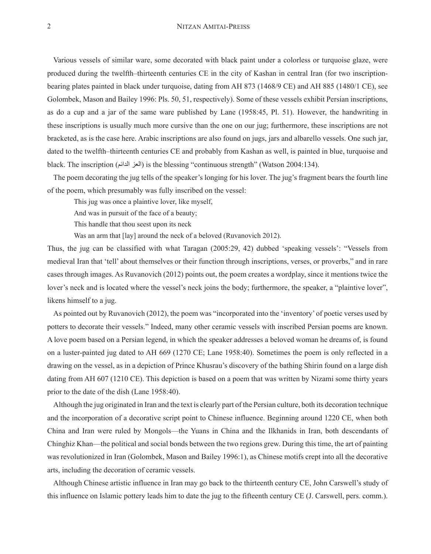Various vessels of similar ware, some decorated with black paint under a colorless or turquoise glaze, were produced during the twelfth–thirteenth centuries CE in the city of Kashan in central Iran (for two inscriptionbearing plates painted in black under turquoise, dating from AH 873 (1468/9 CE) and AH 885 (1480/1 CE), see Golombek, Mason and Bailey 1996: Pls. 50, 51, respectively). Some of these vessels exhibit Persian inscriptions, as do a cup and a jar of the same ware published by Lane (1958:45, Pl. 51). However, the handwriting in these inscriptions is usually much more cursive than the one on our jug; furthermore, these inscriptions are not bracketed, as is the case here. Arabic inscriptions are also found on jugs, jars and albarello vessels. One such jar, dated to the twelfth–thirteenth centuries CE and probably from Kashan as well, is painted in blue, turquoise and black. The inscription (الدائم العز (is the blessing "continuous strength" (Watson 2004:134).

The poem decorating the jug tells of the speaker's longing for his lover. The jug's fragment bears the fourth line of the poem, which presumably was fully inscribed on the vessel:

This jug was once a plaintive lover, like myself,

And was in pursuit of the face of a beauty;

This handle that thou seest upon its neck

Was an arm that  $\lceil \text{lay} \rceil$  around the neck of a beloved (Ruvanovich 2012).

Thus, the jug can be classified with what Taragan (2005:29, 42) dubbed 'speaking vessels': "Vessels from medieval Iran that 'tell' about themselves or their function through inscriptions, verses, or proverbs," and in rare cases through images. As Ruvanovich (2012) points out, the poem creates a wordplay, since it mentions twice the lover's neck and is located where the vessel's neck joins the body; furthermore, the speaker, a "plaintive lover", likens himself to a jug.

As pointed out by Ruvanovich (2012), the poem was "incorporated into the 'inventory' of poetic verses used by potters to decorate their vessels." Indeed, many other ceramic vessels with inscribed Persian poems are known. A love poem based on a Persian legend, in which the speaker addresses a beloved woman he dreams of, is found on a luster-painted jug dated to AH 669 (1270 CE; Lane 1958:40). Sometimes the poem is only reflected in a drawing on the vessel, as in a depiction of Prince Khusrau's discovery of the bathing Shirin found on a large dish dating from AH 607 (1210 CE). This depiction is based on a poem that was written by Nizami some thirty years prior to the date of the dish (Lane 1958:40).

Although the jug originated in Iran and the text is clearly part of the Persian culture, both its decoration technique and the incorporation of a decorative script point to Chinese influence. Beginning around 1220 CE, when both China and Iran were ruled by Mongols—the Yuans in China and the Ilkhanids in Iran, both descendants of Chinghiz Khan—the political and social bonds between the two regions grew. During this time, the art of painting was revolutionized in Iran (Golombek, Mason and Bailey 1996:1), as Chinese motifs crept into all the decorative arts, including the decoration of ceramic vessels.

Although Chinese artistic influence in Iran may go back to the thirteenth century CE, John Carswell's study of this influence on Islamic pottery leads him to date the jug to the fifteenth century CE (J. Carswell, pers. comm.).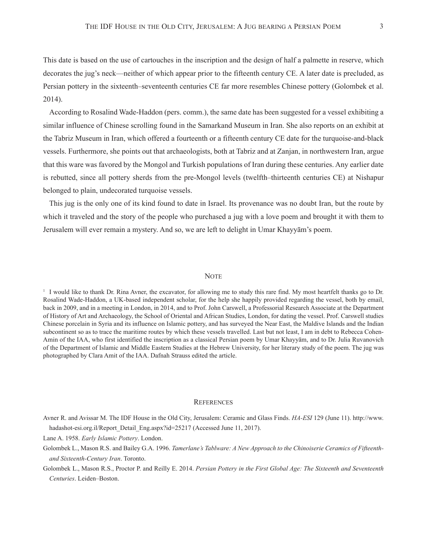This date is based on the use of cartouches in the inscription and the design of half a palmette in reserve, which decorates the jug's neck—neither of which appear prior to the fifteenth century CE. A later date is precluded, as Persian pottery in the sixteenth–seventeenth centuries CE far more resembles Chinese pottery (Golombek et al. 2014).

According to Rosalind Wade-Haddon (pers. comm.), the same date has been suggested for a vessel exhibiting a similar influence of Chinese scrolling found in the Samarkand Museum in Iran. She also reports on an exhibit at the Tabriz Museum in Iran, which offered a fourteenth or a fifteenth century CE date for the turquoise-and-black vessels. Furthermore, she points out that archaeologists, both at Tabriz and at Zanjan, in northwestern Iran, argue that this ware was favored by the Mongol and Turkish populations of Iran during these centuries. Any earlier date is rebutted, since all pottery sherds from the pre-Mongol levels (twelfth–thirteenth centuries CE) at Nishapur belonged to plain, undecorated turquoise vessels.

This jug is the only one of its kind found to date in Israel. Its provenance was no doubt Iran, but the route by which it traveled and the story of the people who purchased a jug with a love poem and brought it with them to Jerusalem will ever remain a mystery. And so, we are left to delight in Umar Khayyām's poem.

## **NOTE**

<sup>1</sup> I would like to thank Dr. Rina Avner, the excavator, for allowing me to study this rare find. My most heartfelt thanks go to Dr. Rosalind Wade-Haddon, a UK-based independent scholar, for the help she happily provided regarding the vessel, both by email, back in 2009, and in a meeting in London, in 2014, and to Prof. John Carswell, a Professorial Research Associate at the Department of History of Art and Archaeology, the School of Oriental and African Studies, London, for dating the vessel. Prof. Carswell studies Chinese porcelain in Syria and its influence on Islamic pottery, and has surveyed the Near East, the Maldive Islands and the Indian subcontinent so as to trace the maritime routes by which these vessels travelled. Last but not least, I am in debt to Rebecca Cohen-Amin of the IAA, who first identified the inscription as a classical Persian poem by Umar Khayyām, and to Dr. Julia Ruvanovich of the Department of Islamic and Middle Eastern Studies at the Hebrew University, for her literary study of the poem. The jug was photographed by Clara Amit of the IAA. Dafnah Strauss edited the article.

## **REFERENCES**

Avner R. and Avissar M. The IDF House in the Old City, Jerusalem: Ceramic and Glass Finds. *HA-ESI* 129 (June 11). http://www. hadashot-esi.org.il/Report\_Detail\_Eng.aspx?id=25217 (Accessed June 11, 2017).

Lane A. 1958. *Early Islamic Pottery*. London.

Golombek L., Mason R.S. and Bailey G.A. 1996. *Tamerlane's Tablware: A New Approach to the Chinoiserie Ceramics of Fifteenthand Sixteenth-Century Iran*. Toronto.

Golombek L., Mason R.S., Proctor P. and Reilly E. 2014. *Persian Pottery in the First Global Age: The Sixteenth and Seventeenth Centuries*. Leiden–Boston.